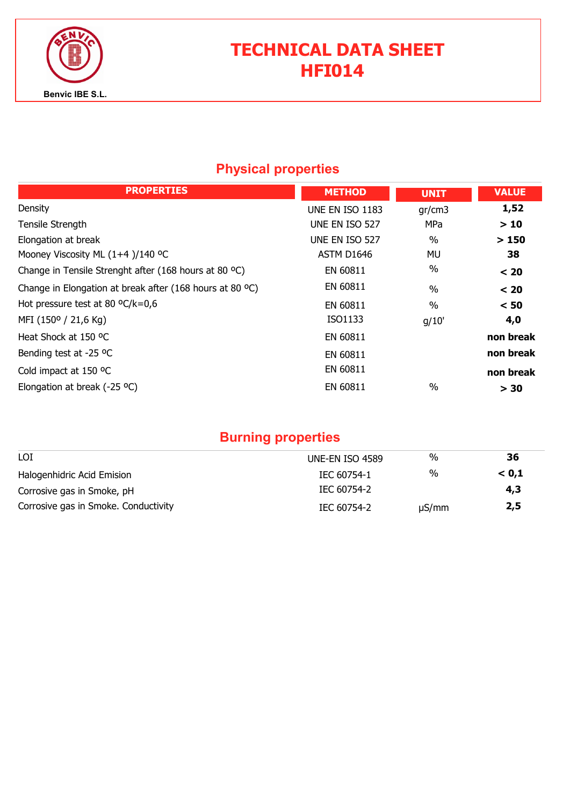

# TECHNICAL DATA SHEET HFI014

## Physical properties

| <b>PROPERTIES</b>                                        | <b>METHOD</b>          | <b>UNIT</b>   | <b>VALUE</b> |
|----------------------------------------------------------|------------------------|---------------|--------------|
| Density                                                  | <b>UNE EN ISO 1183</b> | gr/cm3        | 1,52         |
| Tensile Strength                                         | UNE EN ISO 527         | MPa           | >10          |
| Elongation at break                                      | UNE EN ISO 527         | $\frac{0}{0}$ | >150         |
| Mooney Viscosity ML (1+4)/140 °C                         | ASTM D1646             | MU            | 38           |
| Change in Tensile Strenght after (168 hours at 80 °C)    | EN 60811               | $\%$          | < 20         |
| Change in Elongation at break after (168 hours at 80 °C) | EN 60811               | $\frac{0}{0}$ | < 20         |
| Hot pressure test at 80 $\textdegree C/k = 0.6$          | EN 60811               | $\frac{0}{0}$ | < 50         |
| MFI (150° / 21,6 Kg)                                     | ISO1133                | g/10'         | 4,0          |
| Heat Shock at 150 °C                                     | EN 60811               |               | non break    |
| Bending test at -25 °C                                   | EN 60811               |               | non break    |
| Cold impact at 150 °C                                    | EN 60811               |               | non break    |
| Elongation at break (-25 $^{\circ}$ C)                   | EN 60811               | $\%$          | > 30         |

## Burning properties

| LOI                                  | UNE-EN ISO 4589 | %     | 36    |
|--------------------------------------|-----------------|-------|-------|
| Halogenhidric Acid Emision           | IEC 60754-1     | %     | < 0.1 |
| Corrosive gas in Smoke, pH           | IEC 60754-2     |       | 4,3   |
| Corrosive gas in Smoke. Conductivity | IEC 60754-2     | uS/mm | 2,5   |